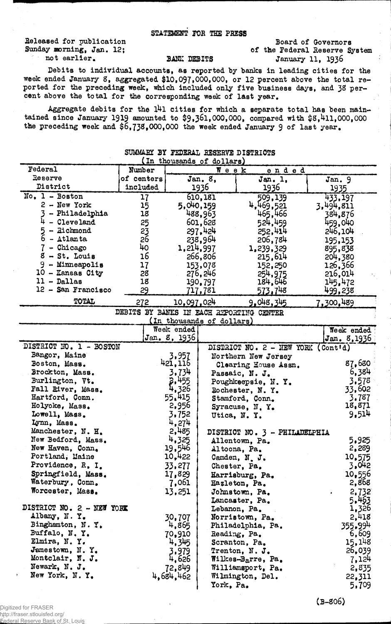## STATEMENT FOB THE PRESS

Beleased for publication Sunday morning, Jan. 12; not earlier.

## Board of Governors of the Federal Reserve System BANE DEBITS January 11, 1936

Debits to individual accounts, as reported by banks in leading cities for the week ended January S, aggregated \$10,097,000,000, or 12 percent above the total reported for the preceding week, which included only five business days, and 38 percent above the total for the corresponding week of last year.

Aggregate debits for the  $141$  cities for which a separate total has been maintained since January 1919 amounted to \$9,361,000,000, compared with \$8,411,000,000 the preceding week and \$6,732,000,000 the week ended January 9 of last year.

|                           |                                                      |              |                           | nt et sammann noochule pielikie          |                                   |
|---------------------------|------------------------------------------------------|--------------|---------------------------|------------------------------------------|-----------------------------------|
| Federal                   | (In thousands of dollars)<br>Number<br>Week<br>ended |              |                           |                                          |                                   |
| Reserve                   | of centers                                           |              | Jan. 8,                   | Jan. 1,                                  | Jan. 9                            |
| District                  | included                                             |              | 1936                      | 1936                                     | 1935                              |
| No. 1 - Boston            | 17                                                   |              | 610,181                   | 509,139                                  | 433,197                           |
| $2 -$ New York            | 15                                                   | 5,040,159    |                           | 4,469,521                                | 3,494,811                         |
| - Philadelphia            | 18                                                   |              | 488,963                   | 465,466                                  | 384,876                           |
| - Cleveland               | 25                                                   |              | 601,628                   | 524,459                                  | 459,040                           |
| - Richmond                | 23                                                   |              | 297,424                   | 252,414                                  | 246,104                           |
| $6 - \Delta t$ lanta      | 26                                                   |              | 238,964                   | 206,784                                  | 195,153                           |
| $7 -$ Chicago             | 40                                                   |              | 1, 214, 997               | 1,239,329                                | 895,838                           |
| $8 - St.$ Louis           | 16                                                   |              | 266,806                   | 215,614                                  | 204,380                           |
| $9$ - Minneapolis         | 17                                                   |              | 153,078                   | 152,250                                  | 126,366                           |
| 10 - Kansas City          | 28                                                   |              | 276,246                   | 254,975                                  | 216,014                           |
| $11 - Dallas$             | 18                                                   |              | 190.797                   | 184,646                                  | 145,472                           |
| 12 - San Francisco        | 29                                                   |              | 717,781                   | 573,748                                  | 499,238.                          |
| TOTAL                     | 272                                                  | 10,097,024   |                           | 9,048,345                                | 7,300,489                         |
|                           |                                                      |              |                           |                                          |                                   |
|                           |                                                      |              |                           | DEBITS BY BANKS IN EACH REPORTING CENTER |                                   |
|                           |                                                      | Week ended   | (In thousands of dollars) |                                          |                                   |
|                           |                                                      | Jan. 8, 1936 |                           |                                          | <b>Neek</b> ended<br>Jan. 8, 1936 |
| DISTRICT NO. 1 - BOSTON   |                                                      |              |                           | DISTRICT NO. 2 - NEW YORK (Cont'd)       |                                   |
| Bangor, Maine             |                                                      | 3,957        |                           | Northern New Jersey                      |                                   |
| Boston, Mass.             |                                                      | 421,116      |                           | Clearing House Assn.                     | 87,680                            |
| Brockton, Mass.           |                                                      | 3,734        |                           | Passaic, N. J.                           | 6,384                             |
| Burlington, Vt.           |                                                      | 2,455        |                           | Poughkeepsie, N.Y.                       | 3,578                             |
| Fall River, Mass.         |                                                      | 4,326        |                           | Rochester, N.Y.                          | 33,602                            |
| Hartford, Conn.           |                                                      | 55.415       |                           | Stamford, Conn.                          | 3.787                             |
| Holyoke, Mass.            |                                                      | 2,956        |                           | Syracuse, N.Y.                           | 18,871                            |
| Lowell, Mass.             |                                                      | 3,752        |                           | Utica, N.Y.                              | 9,514                             |
| Lynn, Mass.               |                                                      | 4,274        |                           |                                          |                                   |
| Manchester, N. H.         |                                                      | 2,485        |                           | DISTRICT NO. 3 - PHILADELPHIA            |                                   |
| New Bedford, Mass.        |                                                      | 4,325        |                           | Allentown, Pa.                           | 5,925                             |
| New Haven, Conn.          |                                                      | 19,546       |                           | Altoona, Pa.                             | 2,289                             |
| Portland, Maine           |                                                      | 10,422       |                           | Camden, N. J.                            | 10.575                            |
| Providence, R. I.         |                                                      | 33,277       |                           | Chester, Pa.                             | 3,042                             |
| Springfield, Mass.        |                                                      | 17,829       |                           | Harrisburg, Pa.                          | 10,556                            |
| Waterbury, Conn.          |                                                      | 7,061        |                           | Hazleton, Pa.                            | 2,868                             |
| Worcester, Mass.          |                                                      | 13,251       |                           | Johnstown, Pa.                           | 2,732<br>$\bullet$                |
|                           |                                                      |              |                           | Lancaster, Pa.                           | 5.463                             |
| DISTRICT NO. 2 - NEW YORK |                                                      |              |                           | Lebanon, Pa.                             | 1,326                             |
| Albany, N.Y.              |                                                      | 30,707       |                           | Norristown, Pa.                          | 2,418                             |
| Binghamton, N.Y.          |                                                      | 4,865        |                           | Philadelphia, Pa.                        | 355.99 <sup>4</sup>               |
| Buffalo, N.Y.             |                                                      | 70,910       |                           | Reading, Pa.                             | 6,609                             |
| Elmira, N.Y.              |                                                      | 4,345        |                           | Scranton, Pa.                            | 15, 148                           |
| Jamestown, N.Y.           |                                                      | 3,979        |                           | Trenton, N.J.                            | 26,039                            |
| Montclair, N. J.          |                                                      | 4,626        |                           | Willhes-Barre, Pa.                       | 7,124                             |
| Newark, N. J.             |                                                      | 72,849       |                           | Williamsport, Pa.                        | 2,835                             |
| New York, N.Y.            |                                                      | 4,684,462    |                           | Wilmington, Del.                         | 22,311                            |
|                           |                                                      |              | York, Pa.                 |                                          | 5,709                             |

## SUMMARY BY FEDERAL RESERVE DISTRICTS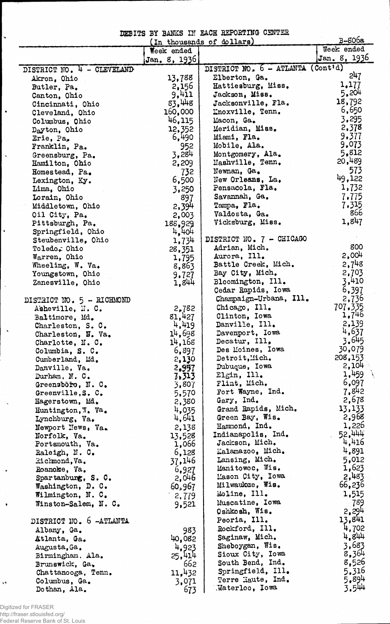DEBITS BY BANKS III EACH REPORTING CENTER

|                                      |               | (In thousands of dollars)         | $B-806a$          |
|--------------------------------------|---------------|-----------------------------------|-------------------|
|                                      | Week ended    |                                   | Week ended        |
|                                      | Jan. 8, 1936  |                                   | Jan. 8, 1936      |
| DISTRICT NO. 4 - CLEVELAND           |               | DISTRICT NO. 6 - ATLANTA (Cont'd) |                   |
| Akron, Ohio                          | 13,788        | Elberton, Ga.                     | 247               |
| Butler, Pa.                          | 2,156         | Hattiesburg, Miss.                | 1,177             |
| Canton, Ohio                         | 9,411         | Jackson, Miss.                    | 5,204             |
| Cincinnati, Ohio                     | 83.448        | Jacksonville, Fla.                | 18,792            |
| Cleveland, Ohio                      | 160,000       | Knoxville, Tenn.                  | 6,650             |
| Columbus, Ohio                       | 46,115        | Macon, Ga.                        | 3,295             |
| Dayton, Ohio                         | 12,352        | Meridian, Miss.                   | 2,378             |
| Erie, Pa,                            | 6,490         | Miami, Fla.                       | 9,377             |
| Franklin, Pa.                        | 952           | Mobile, Ala.                      | 9.073             |
| Greensburg, Pa.                      | 3,284         | Montgomery, Ala.                  | 5,812             |
| Hamilton, Ohio                       | 2,209         | Mashville, Tenn.                  | 20,489            |
| Homestead, Pa.                       | 732           | Newnan, Ga.                       | 573               |
| Lexington, Ky.                       | 6,500         | New Orleans, La.                  | 49,122            |
| Lima, Ohio                           | 3,250         | Pensacola, Fla.                   | 1,732             |
| Lorain, Ohio                         | 897           | Savannah, Ga.                     | 7.775             |
| Middletown, Ohio                     | 2,394         | Tampa, Fla.                       | 7,315             |
| Oil City, Pa.                        | 2,003         | Valdosta, Ga.                     | 866               |
| Pittsburgh, Pa.                      | 188,929       | Vicksburg, Miss.                  | 1,847             |
| Springfield, Ohio                    | 4,404         |                                   |                   |
| Steubenville, Ohio                   | 1,734         | DISTRICT NO. 7 - CHICAGO          | 800               |
| Toledo, Ohio                         | 28,351        | Adrian, Mich.<br>Aurora, Ill.     | 2,004             |
| Warren, Ohio                         | 1,795         | Battle Creek, Mich.               | $2,7^{48}$        |
| Wheeling, W. Va.                     | 8,863         | Bay City, Mich.                   | 2,703             |
| Youngstown, Ohio<br>Zanesville, Ohio | 9,727         | Bloomington, Ill.                 | 3,410             |
|                                      | 1,844         | Cedar Rapids, Iowa                | 6,397             |
| DISTRICT NO. 5 - RICHMOND            |               | Champaign-Urbana, Ill.            | 2,736             |
| Asheville, N. C.                     | 2,782         | Chicago, Ill.                     | 707.335           |
| Baltimore, Md.                       | 81,427        | Clinton, Iowa                     | 1,746             |
| Charleston, S. C.                    | 4,419         | Danville, Ill.                    | 2,139             |
| Charleston, W. Va.                   | 14,698        | Davenport, Iowa                   | 4,637             |
| Charlotte, N.C.                      | 14,168        | Decatur, Ill.                     | 3.645             |
| Columbia, S. C.                      | 6,897         | Des Moines, Iowa                  | 30,079            |
| Cumberland, Md.                      | 2,130         | Detroit, Mich.                    | 208,153           |
| Danville, Va.                        | 2,957         | Dubuque, Iowa                     | 2,104             |
| Durham, N. C.                        | 7.313         | $E1$ gin, $111.$                  | 1,459             |
| Greensbôro, N. C.                    | 3,807         | Flint, Mich.                      | 6,097             |
| Greenville, S. C.                    | 5,570         | Fort Wayne, Ind.                  | 7,842             |
| Hagerstown, Md.                      | 2,380         | Gary, Ind.                        | 2,678             |
| Huntington, W. Va.                   | 4,035         | Grand Rapids, Mich.               | 13,133            |
| Lynchburg, Va.                       | 4,641         | Green Bay, Wis.                   | 2,968             |
| Newport News, Va.                    | 2,138         | Hammond, Ind.                     | 1,226             |
| Norfolk, Va.                         | 13,528        | Indianapolis, Ind.                | 52,444            |
| Portsmouth, Va.                      | 1,066         | Jackson, Mich.                    | 4,416             |
| Raleigh, N. C.                       | 6,128         | Kalamazoo, Mich.                  | 4,891             |
| Richmond, Va.                        | 37,146        | Lansing, Mich.<br>Manitowoc, Wis. | 5,012<br>1,623    |
| Roanoke, Va.                         | 6,927         | Mason City, Iowa                  | 2,483             |
| Spartanburg, $S. C.$                 | 2,046         | Milwaukce, Wis.                   | 66,236            |
| Washington, D. C.                    | 60,967        | Moline, Ill.                      | 1,515             |
| Wilmington, N. C.                    | $-2,779$      | Muscatine, Iowa                   | 789               |
| Winston-Salem, N. C.                 | 9,521         | Oshkosh, Wis.                     | 2,294             |
| DISTRICT NO. 6 -ATLANTA              |               | Peoria, Ill.                      | 13,841            |
|                                      |               | Rockford, Ill.                    | 4,702             |
| Albany, Ga.                          | 983<br>40,082 | Saginaw, Mich.                    | 4.844             |
| Atlanta, Ga.<br>Augusta, Ga.         | 4,923         | Sheboygan, Wis.                   | 3,683             |
| Birmingham, Ala.                     | 25,414        | Sioux City, Iowa                  | 8,364             |
| Brunswick, Ga.                       | 662           | South Bend, Ind.                  | 8,526             |
| Chattanooga, Tenn.                   | 11,432        | $Springfield,$ $111.$             | 5,316             |
| Columbus, Ga.                        | 3,071         | Terre Haute, Ind.                 | 5.894             |
| Dothan, Ala.                         | 673           | Naterloo, Iowa                    | 3.5 <sup>44</sup> |

Digitized for FRASER http://fraser.stlouisfed.org/ Federal Reserve Bank of St. Louis

ŀ,

 $\left| \cdot \right|$ 

 $\vert \cdot \vert$ 

 $\ddot{\phantom{a}}$ 

 $\ddot{\phantom{1}}$ 

 $\ddot{\phantom{1}}$ 

 $\hat{\mathbf{v}}$ 

 $\bullet$ 

 $\bullet$ 

 $\mathbf{v}^{\mathbf{v}}$